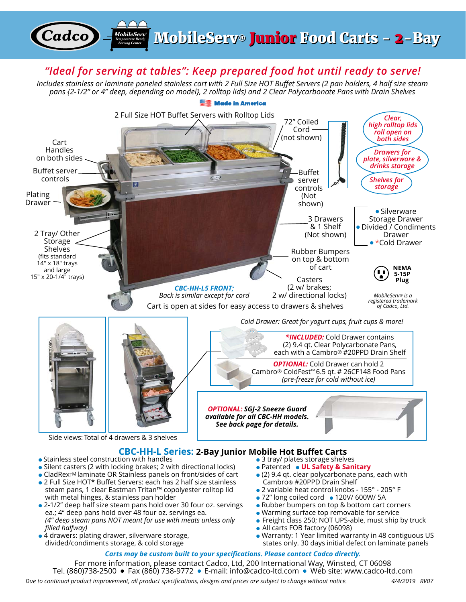*MobileServ MobileServ® Temperature Ready Serving Center* **MobileServ MobileServ®® Junior Food Carts - 2-Bay Junior Food Carts - 2-Bay**

## *"Ideal for serving at tables": Keep prepared food hot until ready to serve!*

*Includes stainless or laminate paneled stainless cart with 2 Full Size HOT Buffet Servers (2 pan holders, 4 half size steam pans {2-1/2" or 4" deep, depending on model}, 2 rolltop lids) and 2 Clear Polycarbonate Pans with Drain Shelves*



- CladRexTM laminate OR Stainless panels on front/sides of cart
- 2 Full Size HOT\* Buffet Servers: each has 2 half size stainless steam pans, 1 clear Eastman Tritan™ copolyester rolltop lid with metal hinges, & stainless pan holder
- 2-1/2" deep half size steam pans hold over 30 four oz. servings ea.; 4" deep pans hold over 48 four oz. servings ea. *(4" deep steam pans NOT meant for use with meats unless only filled halfway)*
- 4 drawers: plating drawer, silverware storage, divided/condiments storage, & cold storage

Cadco<sup>)</sup>

- (2) 9.4 qt. clear polycarbonate pans, each with Cambro® #20PPD Drain Shelf
- 2 variable heat control knobs 155° 205° F
- 72" long coiled cord 120V/ 600W/ 5A
- Rubber bumpers on top & bottom cart corners
- Warming surface top removable for service
- Freight class 250; NOT UPS-able, must ship by truck
- All carts FOB factory (06098)
- Warranty: 1 Year limited warranty in 48 contiguous US states only. 30 days initial defect on laminate panels

## *Carts may be custom built to your specifications. Please contact Cadco directly.*

For more information, please contact Cadco, Ltd, 200 International Way, Winsted, CT 06098 Tel. (860)738-2500 ● Fax (860) 738-9772 ● E-mail: info@cadco-ltd.com ● Web site: www.cadco-ltd.com

*Due to continual product improvement, all product specifications, designs and prices are subject to change without notice. 4/4/2019 RV07*